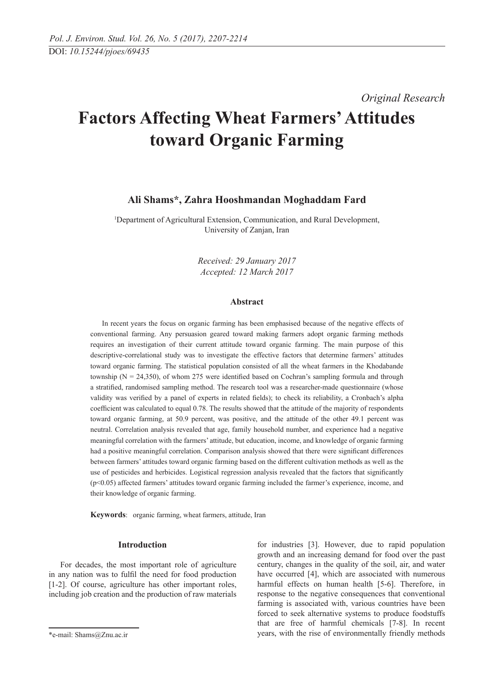*Original Research* 

# **Factors Affecting Wheat Farmers' Attitudes toward Organic Farming**

# **Ali Shams\*, Zahra Hooshmandan Moghaddam Fard**

1 Department of Agricultural Extension, Communication, and Rural Development, University of Zanjan, Iran

> *Received: 29 January 2017 Accepted: 12 March 2017*

### **Abstract**

In recent years the focus on organic farming has been emphasised because of the negative effects of conventional farming. Any persuasion geared toward making farmers adopt organic farming methods requires an investigation of their current attitude toward organic farming. The main purpose of this descriptive-correlational study was to investigate the effective factors that determine farmers' attitudes toward organic farming. The statistical population consisted of all the wheat farmers in the Khodabande township ( $N = 24,350$ ), of whom 275 were identified based on Cochran's sampling formula and through a stratified, randomised sampling method. The research tool was a researcher-made questionnaire (whose validity was verified by a panel of experts in related fields); to check its reliability, a Cronbach's alpha coefficient was calculated to equal 0.78. The results showed that the attitude of the majority of respondents toward organic farming, at 50.9 percent, was positive, and the attitude of the other 49.1 percent was neutral. Correlation analysis revealed that age, family household number, and experience had a negative meaningful correlation with the farmers' attitude, but education, income, and knowledge of organic farming had a positive meaningful correlation. Comparison analysis showed that there were significant differences between farmers' attitudes toward organic farming based on the different cultivation methods as well as the use of pesticides and herbicides. Logistical regression analysis revealed that the factors that significantly (p<0.05) affected farmers' attitudes toward organic farming included the farmer's experience, income, and their knowledge of organic farming.

**Keywords**: organic farming, wheat farmers, attitude, Iran

## **Introduction**

For decades, the most important role of agriculture in any nation was to fulfil the need for food production [1-2]. Of course, agriculture has other important roles, including job creation and the production of raw materials

for industries [3]. However, due to rapid population growth and an increasing demand for food over the past century, changes in the quality of the soil, air, and water have occurred [4], which are associated with numerous harmful effects on human health [5-6]. Therefore, in response to the negative consequences that conventional farming is associated with, various countries have been forced to seek alternative systems to produce foodstuffs that are free of harmful chemicals [7-8]. In recent years, with the rise of environmentally friendly methods

<sup>\*</sup>e-mail: Shams@Znu.ac.ir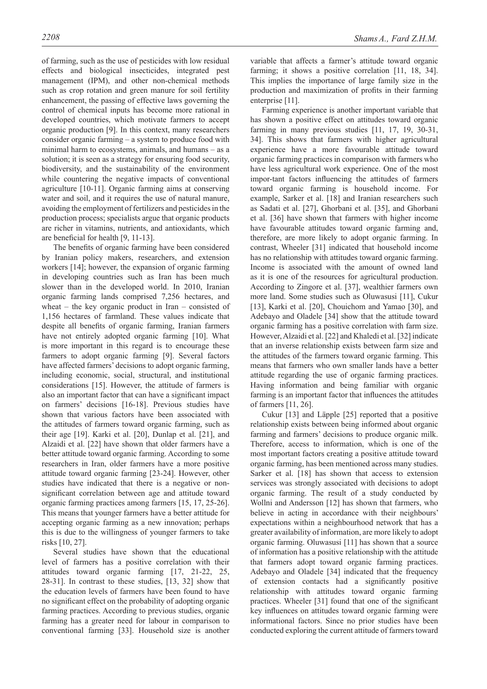of farming, such as the use of pesticides with low residual effects and biological insecticides, integrated pest management (IPM), and other non-chemical methods such as crop rotation and green manure for soil fertility enhancement, the passing of effective laws governing the control of chemical inputs has become more rational in developed countries, which motivate farmers to accept organic production [9]. In this context, many researchers consider organic farming – a system to produce food with minimal harm to ecosystems, animals, and humans – as a solution; it is seen as a strategy for ensuring food security, biodiversity, and the sustainability of the environment while countering the negative impacts of conventional agriculture [10-11]. Organic farming aims at conserving water and soil, and it requires the use of natural manure, avoiding the employment of fertilizers and pesticides in the production process; specialists argue that organic products are richer in vitamins, nutrients, and antioxidants, which are beneficial for health [9, 11-13].

The benefits of organic farming have been considered by Iranian policy makers, researchers, and extension workers [14]; however, the expansion of organic farming in developing countries such as Iran has been much slower than in the developed world. In 2010, Iranian organic farming lands comprised 7,256 hectares, and wheat – the key organic product in Iran – consisted of 1,156 hectares of farmland. These values indicate that despite all benefits of organic farming, Iranian farmers have not entirely adopted organic farming [10]. What is more important in this regard is to encourage these farmers to adopt organic farming [9]. Several factors have affected farmers' decisions to adopt organic farming, including economic, social, structural, and institutional considerations [15]. However, the attitude of farmers is also an important factor that can have a significant impact on farmers' decisions [16-18]. Previous studies have shown that various factors have been associated with the attitudes of farmers toward organic farming, such as their age [19]. Karki et al. [20], Dunlap et al. [21], and Alzaidi et al. [22] have shown that older farmers have a better attitude toward organic farming. According to some researchers in Iran, older farmers have a more positive attitude toward organic farming [23-24]. However, other studies have indicated that there is a negative or nonsignificant correlation between age and attitude toward organic farming practices among farmers [15, 17, 25-26]. This means that younger farmers have a better attitude for accepting organic farming as a new innovation; perhaps this is due to the willingness of younger farmers to take risks [10, 27].

Several studies have shown that the educational level of farmers has a positive correlation with their attitudes toward organic farming [17, 21-22, 25, 28-31]. In contrast to these studies, [13, 32] show that the education levels of farmers have been found to have no significant effect on the probability of adopting organic farming practices. According to previous studies, organic farming has a greater need for labour in comparison to conventional farming [33]. Household size is another variable that affects a farmer's attitude toward organic farming; it shows a positive correlation [11, 18, 34]. This implies the importance of large family size in the production and maximization of profits in their farming enterprise [11].

Farming experience is another important variable that has shown a positive effect on attitudes toward organic farming in many previous studies [11, 17, 19, 30-31, 34]. This shows that farmers with higher agricultural experience have a more favourable attitude toward organic farming practices in comparison with farmers who have less agricultural work experience. One of the most impor-tant factors influencing the attitudes of farmers toward organic farming is household income. For example, Sarker et al. [18] and Iranian researchers such as Sadati et al. [27], Ghorbani et al. [35], and Ghorbani et al. [36] have shown that farmers with higher income have favourable attitudes toward organic farming and, therefore, are more likely to adopt organic farming. In contrast, Wheeler [31] indicated that household income has no relationship with attitudes toward organic farming. Income is associated with the amount of owned land as it is one of the resources for agricultural production. According to Zingore et al. [37], wealthier farmers own more land. Some studies such as Oluwasusi [11], Cukur [13], Karki et al. [20], Chouichom and Yamao [30], and Adebayo and Oladele [34] show that the attitude toward organic farming has a positive correlation with farm size. However, Alzaidi et al. [22] and Khaledi et al. [32] indicate that an inverse relationship exists between farm size and the attitudes of the farmers toward organic farming. This means that farmers who own smaller lands have a better attitude regarding the use of organic farming practices. Having information and being familiar with organic farming is an important factor that influences the attitudes of farmers [11, 26].

Cukur [13] and Läpple [25] reported that a positive relationship exists between being informed about organic farming and farmers' decisions to produce organic milk. Therefore, access to information, which is one of the most important factors creating a positive attitude toward organic farming, has been mentioned across many studies. Sarker et al. [18] has shown that access to extension services was strongly associated with decisions to adopt organic farming. The result of a study conducted by Wollni and Andersson [12] has shown that farmers, who believe in acting in accordance with their neighbours' expectations within a neighbourhood network that has a greater availability of information, are more likely to adopt organic farming. Oluwasusi [11] has shown that a source of information has a positive relationship with the attitude that farmers adopt toward organic farming practices. Adebayo and Oladele [34] indicated that the frequency of extension contacts had a significantly positive relationship with attitudes toward organic farming practices. Wheeler [31] found that one of the significant key influences on attitudes toward organic farming were informational factors. Since no prior studies have been conducted exploring the current attitude of farmers toward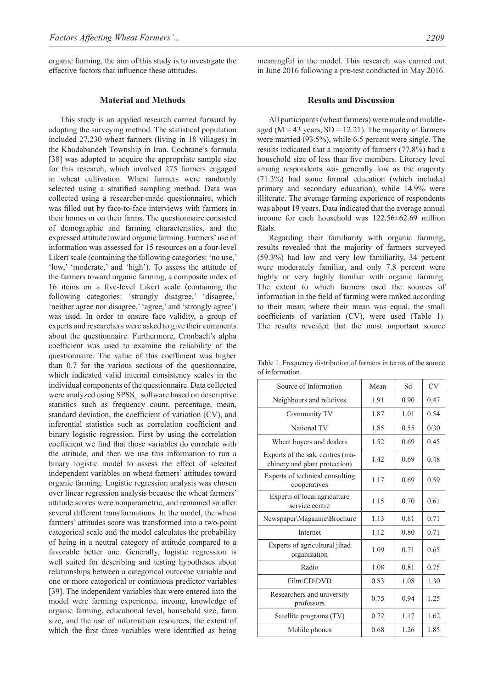organic farming, the aim of this study is to investigate the effective factors that influence these attitudes.

#### **Material and Methods**

This study is an applied research carried forward by adopting the surveying method. The statistical population included 27,230 wheat farmers (living in 18 villages) in the Khodabandeh Township in Iran. Cochrane's formula [38] was adopted to acquire the appropriate sample size for this research, which involved 275 farmers engaged in wheat cultivation. Wheat farmers were randomly selected using a stratified sampling method. Data was collected using a researcher-made questionnaire, which was filled out by face-to-face interviews with farmers in their homes or on their farms. The questionnaire consisted of demographic and farming characteristics, and the expressed attitude toward organic farming. Farmers' use of information was assessed for 15 resources on a four-level Likert scale (containing the following categories: 'no use,' 'low,' 'moderate,' and 'high'). To assess the attitude of the farmers toward organic farming, a composite index of 16 items on a five-level Likert scale (containing the following categories: 'strongly disagree,' 'disagree,' 'neither agree nor disagree,' 'agree,' and 'strongly agree') was used. In order to ensure face validity, a group of experts and researchers were asked to give their comments about the questionnaire. Furthermore, Cronbach's alpha coefficient was used to examine the reliability of the questionnaire. The value of this coefficient was higher than 0.7 for the various sections of the questionnaire, which indicated valid internal consistency scales in the individual components of the questionnaire. Data collected were analyzed using  $SPSS_{21}$  software based on descriptive statistics such as frequency count, percentage, mean, standard deviation, the coefficient of variation (CV), and inferential statistics such as correlation coefficient and binary logistic regression. First by using the correlation coefficient we find that those variables do correlate with the attitude, and then we use this information to run a binary logistic model to assess the effect of selected independent variables on wheat farmers' attitudes toward organic farming. Logistic regression analysis was chosen over linear regression analysis because the wheat farmers' attitude scores were nonparametric, and remained so after several different transformations. In the model, the wheat farmers' attitudes score was transformed into a two-point categorical scale and the model calculates the probability of being in a neutral category of attitude compared to a favorable better one. Generally, logistic regression is well suited for describing and testing hypotheses about relationships between a categorical outcome variable and one or more categorical or continuous predictor variables [39]. The independent variables that were entered into the model were farming experience, income, knowledge of organic farming, educational level, household size, farm size, and the use of information resources, the extent of which the first three variables were identified as being

meaningful in the model. This research was carried out in June 2016 following a pre-test conducted in May 2016.

#### **Results and Discussion**

All participants (wheat farmers) were male and middleaged ( $M = 43$  years,  $SD = 12.21$ ). The majority of farmers were married (93.5%), while 6.5 percent were single. The results indicated that a majority of farmers (77.8%) had a household size of less than five members. Literacy level among respondents was generally low as the majority (71.3%) had some formal education (which included primary and secondary education), while 14.9% were illiterate. The average farming experience of respondents was about 19 years. Data indicated that the average annual income for each household was 122.56±62.69 million Rials.

Regarding their familiarity with organic farming, results revealed that the majority of farmers surveyed (59.3%) had low and very low familiarity, 34 percent were moderately familiar, and only 7.8 percent were highly or very highly familiar with organic farming. The extent to which farmers used the sources of information in the field of farming were ranked according to their mean; where their mean was equal, the small coefficients of variation (CV), were used (Table 1). The results revealed that the most important source

| Source of Information                                             | Mean | Sd   | CV   |
|-------------------------------------------------------------------|------|------|------|
| Neighbours and relatives                                          | 1.91 | 0.90 | 0.47 |
| Community TV                                                      | 1.87 | 1.01 | 0.54 |
| National TV                                                       | 1.85 | 0.55 | 0/30 |
| Wheat buyers and dealers                                          | 1.52 | 0.69 | 0.45 |
| Experts of the sale centres (ma-<br>chinery and plant protection) | 1.42 | 0.69 | 0.48 |
| Experts of technical consulting<br>cooperatives                   | 1.17 | 0.69 | 0.59 |
| Experts of local agriculture<br>service centre                    | 1.15 | 0.70 | 0.61 |
| Newspaper\Magazine\Brochure                                       | 1.13 | 0.81 | 0.71 |
| Internet                                                          | 1.12 | 0.80 | 0.71 |
| Experts of agricultural jihad<br>organization                     | 1.09 | 0.71 | 0.65 |
| Radio                                                             | 1.08 | 0.81 | 0.75 |
| Film\CD\DVD                                                       | 0.83 | 1.08 | 1.30 |
| Researchers and university<br>professors                          | 0.75 | 0.94 | 1.25 |
| Satellite programs (TV)                                           | 0.72 | 1.17 | 1.62 |
| Mobile phones                                                     | 0.68 | 1.26 | 1.85 |

Table 1. Frequency distribution of farmers in terms of the source of information.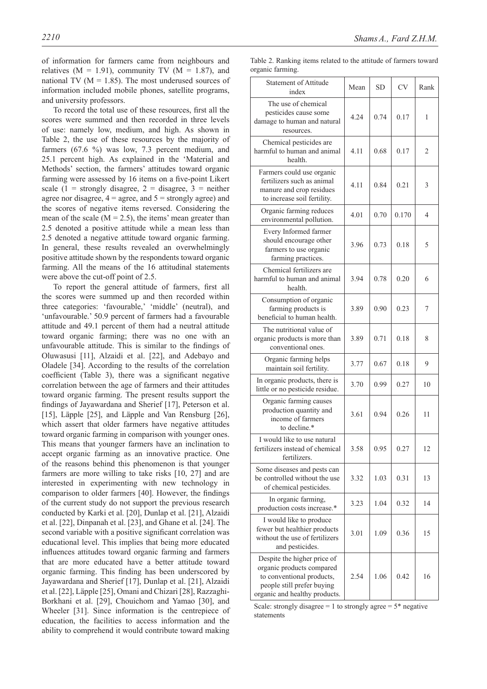of information for farmers came from neighbours and relatives  $(M = 1.91)$ , community TV  $(M = 1.87)$ , and national TV ( $M = 1.85$ ). The most underused sources of information included mobile phones, satellite programs, and university professors.

To record the total use of these resources, first all the scores were summed and then recorded in three levels of use: namely low, medium, and high. As shown in Table 2, the use of these resources by the majority of farmers (67.6 %) was low, 7.3 percent medium, and 25.1 percent high. As explained in the 'Material and Methods' section, the farmers' attitudes toward organic farming were assessed by 16 items on a five-point Likert scale (1 = strongly disagree, 2 = disagree, 3 = neither agree nor disagree,  $4 = \text{agree}$ , and  $5 = \text{strongly agree}$ ) and the scores of negative items reversed. Considering the mean of the scale  $(M = 2.5)$ , the items' mean greater than 2.5 denoted a positive attitude while a mean less than 2.5 denoted a negative attitude toward organic farming. In general, these results revealed an overwhelmingly positive attitude shown by the respondents toward organic farming. All the means of the 16 attitudinal statements were above the cut-off point of 2.5.

To report the general attitude of farmers, first all the scores were summed up and then recorded within three categories: 'favourable,' 'middle' (neutral), and 'unfavourable.' 50.9 percent of farmers had a favourable attitude and 49.1 percent of them had a neutral attitude toward organic farming; there was no one with an unfavourable attitude. This is similar to the findings of Oluwasusi [11], Alzaidi et al. [22], and Adebayo and Oladele [34]. According to the results of the correlation coefficient (Table 3), there was a significant negative correlation between the age of farmers and their attitudes toward organic farming. The present results support the findings of Jayawardana and Sherief [17], Peterson et al. [15], Läpple [25], and Läpple and Van Rensburg [26], which assert that older farmers have negative attitudes toward organic farming in comparison with younger ones. This means that younger farmers have an inclination to accept organic farming as an innovative practice. One of the reasons behind this phenomenon is that younger farmers are more willing to take risks [10, 27] and are interested in experimenting with new technology in comparison to older farmers [40]. However, the findings of the current study do not support the previous research conducted by Karki et al. [20], Dunlap et al. [21], Alzaidi et al. [22], Dinpanah et al. [23], and Ghane et al. [24]. The second variable with a positive significant correlation was educational level. This implies that being more educated influences attitudes toward organic farming and farmers that are more educated have a better attitude toward organic farming. This finding has been underscored by Jayawardana and Sherief [17], Dunlap et al. [21], Alzaidi et al. [22], Läpple [25], Omani and Chizari [28], Razzaghi-Borkhani et al. [29], Chouichom and Yamao [30], and Wheeler [31]. Since information is the centrepiece of education, the facilities to access information and the ability to comprehend it would contribute toward making Table 2. Ranking items related to the attitude of farmers toward organic farming.

| organic rammig.                                                                                                                                      |      |           |           |      |
|------------------------------------------------------------------------------------------------------------------------------------------------------|------|-----------|-----------|------|
| <b>Statement of Attitude</b><br>index                                                                                                                | Mean | <b>SD</b> | <b>CV</b> | Rank |
| The use of chemical<br>pesticides cause some<br>damage to human and natural<br>resources.                                                            | 4.24 | 0.74      | 0.17      | 1    |
| Chemical pesticides are<br>harmful to human and animal<br>health.                                                                                    | 4.11 | 0.68      | 0.17      | 2    |
| Farmers could use organic<br>fertilizers such as animal<br>manure and crop residues<br>to increase soil fertility.                                   | 4.11 | 0.84      | 0.21      | 3    |
| Organic farming reduces<br>environmental pollution.                                                                                                  | 4.01 | 0.70      | 0.170     | 4    |
| Every Informed farmer<br>should encourage other<br>farmers to use organic<br>farming practices.                                                      | 3.96 | 0.73      | 0.18      | 5    |
| Chemical fertilizers are<br>harmful to human and animal<br>health.                                                                                   | 3.94 | 0.78      | 0.20      | 6    |
| Consumption of organic<br>farming products is<br>beneficial to human health.                                                                         | 3.89 | 0.90      | 0.23      | 7    |
| The nutritional value of<br>organic products is more than<br>conventional ones.                                                                      | 3.89 | 0.71      | 0.18      | 8    |
| Organic farming helps<br>maintain soil fertility.                                                                                                    | 3.77 | 0.67      | 0.18      | 9    |
| In organic products, there is<br>little or no pesticide residue.                                                                                     | 3.70 | 0.99      | 0.27      | 10   |
| Organic farming causes<br>production quantity and<br>income of farmers<br>to decline.*                                                               | 3.61 | 0.94      | 0.26      | 11   |
| I would like to use natural<br>fertilizers instead of chemical<br>fertilizers.                                                                       | 3.58 | 0.95      | 0.27      | 12   |
| Some diseases and pests can<br>be controlled without the use<br>of chemical pesticides.                                                              | 3.32 | 1.03      | 0.31      | 13   |
| In organic farming,<br>production costs increase.*                                                                                                   | 3.23 | 1.04      | 0.32      | 14   |
| I would like to produce<br>fewer but healthier products<br>without the use of fertilizers<br>and pesticides.                                         | 3.01 | 1.09      | 0.36      | 15   |
| Despite the higher price of<br>organic products compared<br>to conventional products,<br>people still prefer buying<br>organic and healthy products. | 2.54 | 1.06      | 0.42      | 16   |

Scale: strongly disagree  $= 1$  to strongly agree  $= 5$ <sup>\*</sup> negative statements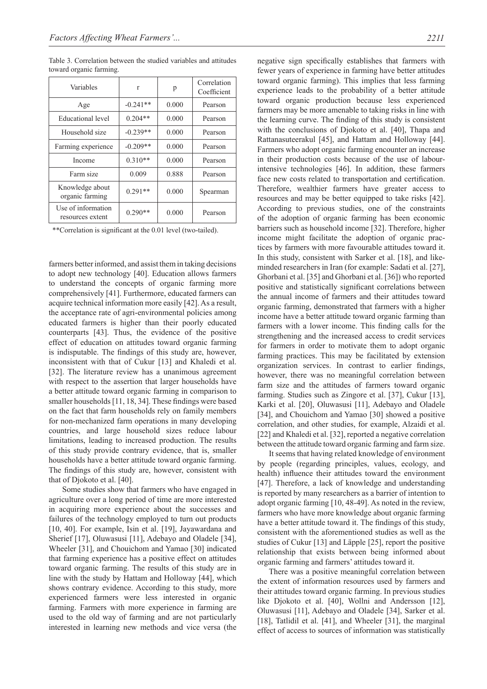Table 3. Correlation between the studied variables and attitudes toward organic farming.

| Variables                              | r          | р     | Correlation<br>Coefficient |
|----------------------------------------|------------|-------|----------------------------|
| Age                                    | $-0.241**$ | 0.000 | Pearson                    |
| Educational level                      | $0.204**$  | 0.000 | Pearson                    |
| Household size                         | $-0.239**$ | 0.000 | Pearson                    |
| Farming experience                     | $-0.209**$ | 0.000 | Pearson                    |
| Income                                 | $0.310**$  | 0.000 | Pearson                    |
| Farm size                              | 0.009      | 0.888 | Pearson                    |
| Knowledge about<br>organic farming     | $0.291**$  | 0.000 | Spearman                   |
| Use of information<br>resources extent | $0.290**$  | 0.000 | Pearson                    |

\*\*Correlation is significant at the 0.01 level (two-tailed).

farmers better informed, and assist them in taking decisions to adopt new technology [40]. Education allows farmers to understand the concepts of organic farming more comprehensively [41]. Furthermore, educated farmers can acquire technical information more easily [42]. As a result, the acceptance rate of agri-environmental policies among educated farmers is higher than their poorly educated counterparts [43]. Thus, the evidence of the positive effect of education on attitudes toward organic farming is indisputable. The findings of this study are, however, inconsistent with that of Cukur [13] and Khaledi et al. [32]. The literature review has a unanimous agreement with respect to the assertion that larger households have a better attitude toward organic farming in comparison to smaller households [11, 18, 34]. These findings were based on the fact that farm households rely on family members for non-mechanized farm operations in many developing countries, and large household sizes reduce labour limitations, leading to increased production. The results of this study provide contrary evidence, that is, smaller households have a better attitude toward organic farming. The findings of this study are, however, consistent with that of Djokoto et al. [40].

 Some studies show that farmers who have engaged in agriculture over a long period of time are more interested in acquiring more experience about the successes and failures of the technology employed to turn out products [10, 40]. For example, Isin et al. [19], Jayawardana and Sherief [17], Oluwasusi [11], Adebayo and Oladele [34], Wheeler [31], and Chouichom and Yamao [30] indicated that farming experience has a positive effect on attitudes toward organic farming. The results of this study are in line with the study by Hattam and Holloway [44], which shows contrary evidence. According to this study, more experienced farmers were less interested in organic farming. Farmers with more experience in farming are used to the old way of farming and are not particularly interested in learning new methods and vice versa (the negative sign specifically establishes that farmers with fewer years of experience in farming have better attitudes toward organic farming). This implies that less farming experience leads to the probability of a better attitude toward organic production because less experienced farmers may be more amenable to taking risks in line with the learning curve. The finding of this study is consistent with the conclusions of Djokoto et al. [40], Thapa and Rattanasuteerakul [45], and Hattam and Holloway [44]. Farmers who adopt organic farming encounter an increase in their production costs because of the use of labourintensive technologies [46]. In addition, these farmers face new costs related to transportation and certification. Therefore, wealthier farmers have greater access to resources and may be better equipped to take risks [42]. According to previous studies, one of the constraints of the adoption of organic farming has been economic barriers such as household income [32]. Therefore, higher income might facilitate the adoption of organic practices by farmers with more favourable attitudes toward it. In this study, consistent with Sarker et al. [18], and likeminded researchers in Iran (for example: Sadati et al. [27], Ghorbani et al. [35] and Ghorbani et al. [36]) who reported positive and statistically significant correlations between the annual income of farmers and their attitudes toward organic farming, demonstrated that farmers with a higher income have a better attitude toward organic farming than farmers with a lower income. This finding calls for the strengthening and the increased access to credit services for farmers in order to motivate them to adopt organic farming practices. This may be facilitated by extension organization services. In contrast to earlier findings, however, there was no meaningful correlation between farm size and the attitudes of farmers toward organic farming. Studies such as Zingore et al. [37], Cukur [13], Karki et al. [20], Oluwasusi [11], Adebayo and Oladele [34], and Chouichom and Yamao [30] showed a positive correlation, and other studies, for example, Alzaidi et al. [22] and Khaledi et al. [32], reported a negative correlation between the attitude toward organic farming and farm size.

It seems that having related knowledge of environment by people (regarding principles, values, ecology, and health) influence their attitudes toward the environment [47]. Therefore, a lack of knowledge and understanding is reported by many researchers as a barrier of intention to adopt organic farming [10, 48-49]. As noted in the review, farmers who have more knowledge about organic farming have a better attitude toward it. The findings of this study, consistent with the aforementioned studies as well as the studies of Cukur [13] and Läpple [25], report the positive relationship that exists between being informed about organic farming and farmers' attitudes toward it.

There was a positive meaningful correlation between the extent of information resources used by farmers and their attitudes toward organic farming. In previous studies like Djokoto et al. [40], Wollni and Andersson [12], Oluwasusi [11], Adebayo and Oladele [34], Sarker et al. [18], Tatlidil et al. [41], and Wheeler [31], the marginal effect of access to sources of information was statistically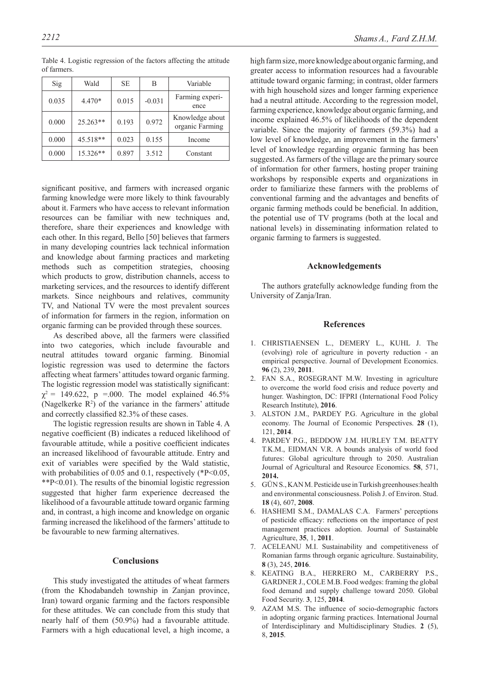| Sig   | Wald       | SE    | B        | Variable                           |
|-------|------------|-------|----------|------------------------------------|
| 0.035 | $4.470*$   | 0.015 | $-0.031$ | Farming experi-<br>ence            |
| 0.000 | $25.263**$ | 0.193 | 0.972    | Knowledge about<br>organic Farming |
| 0.000 | 45.518**   | 0.023 | 0.155    | Income                             |
| 0.000 | 15.326**   | 0.897 | 3.512    | Constant                           |

Table 4. Logistic regression of the factors affecting the attitude of farmers.

significant positive, and farmers with increased organic farming knowledge were more likely to think favourably about it. Farmers who have access to relevant information resources can be familiar with new techniques and, therefore, share their experiences and knowledge with each other. In this regard, Bello [50] believes that farmers in many developing countries lack technical information and knowledge about farming practices and marketing methods such as competition strategies, choosing which products to grow, distribution channels, access to marketing services, and the resources to identify different markets. Since neighbours and relatives, community TV, and National TV were the most prevalent sources of information for farmers in the region, information on organic farming can be provided through these sources.

As described above, all the farmers were classified into two categories, which include favourable and neutral attitudes toward organic farming. Binomial logistic regression was used to determine the factors affecting wheat farmers' attitudes toward organic farming. The logistic regression model was statistically significant:  $\chi^2$  = 149.622, p =.000. The model explained 46.5% (Nagelkerke  $R^2$ ) of the variance in the farmers' attitude and correctly classified 82.3% of these cases.

The logistic regression results are shown in Table 4. A negative coefficient (B) indicates a reduced likelihood of favourable attitude, while a positive coefficient indicates an increased likelihood of favourable attitude. Entry and exit of variables were specified by the Wald statistic, with probabilities of 0.05 and 0.1, respectively  $(*P<0.05,$ \*\*P<0.01). The results of the binomial logistic regression suggested that higher farm experience decreased the likelihood of a favourable attitude toward organic farming and, in contrast, a high income and knowledge on organic farming increased the likelihood of the farmers' attitude to be favourable to new farming alternatives.

#### **Conclusions**

This study investigated the attitudes of wheat farmers (from the Khodabandeh township in Zanjan province, Iran) toward organic farming and the factors responsible for these attitudes. We can conclude from this study that nearly half of them (50.9%) had a favourable attitude. Farmers with a high educational level, a high income, a

high farm size, more knowledge about organic farming, and greater access to information resources had a favourable attitude toward organic farming; in contrast, older farmers with high household sizes and longer farming experience had a neutral attitude. According to the regression model, farming experience, knowledge about organic farming, and income explained 46.5% of likelihoods of the dependent variable. Since the majority of farmers (59.3%) had a low level of knowledge, an improvement in the farmers' level of knowledge regarding organic farming has been suggested. As farmers of the village are the primary source of information for other farmers, hosting proper training workshops by responsible experts and organizations in order to familiarize these farmers with the problems of conventional farming and the advantages and benefits of organic farming methods could be beneficial. In addition, the potential use of TV programs (both at the local and national levels) in disseminating information related to organic farming to farmers is suggested.

#### **Acknowledgements**

The authors gratefully acknowledge funding from the University of Zanja/Iran.

#### **References**

- 1. CHRISTIAENSEN L., DEMERY L., KUHL J. The (evolving) role of agriculture in poverty reduction - an empirical perspective. Journal of Development Economics. **96** (2), 239, **2011**.
- 2. FAN S.A., ROSEGRANT M.W. Investing in agriculture to overcome the world food crisis and reduce poverty and hunger. Washington, DC: IFPRI (International Food Policy Research Institute), **2016**.
- 3. ALSTON J.M., PARDEY P.G. Agriculture in the global economy. The Journal of Economic Perspectives. **28** (1), 121, **2014**.
- 4. PARDEY P.G., BEDDOW J.M. HURLEY T.M. BEATTY T.K.M., EIDMAN V.R. A bounds analysis of world food futures: Global agriculture through to 2050. Australian Journal of Agricultural and Resource Economics. **58**, 571, **2014.**
- 5. GÜN S., KAN M. Pesticide use in Turkish greenhouses:health and environmental consciousness. Polish J. of Environ. Stud. **18** (4), 607, **2008**.
- 6. HASHEMI S.M., DAMALAS C.A. Farmers' perceptions of pesticide efficacy: reflections on the importance of pest management practices adoption. Journal of Sustainable Agriculture, **35**, 1, **2011**.
- 7. ACELEANU M.I. Sustainability and competitiveness of Romanian farms through organic agriculture. Sustainability, **8** (3), 245, **2016**.
- 8. KEATING B.A., HERRERO M., CARBERRY P.S., GARDNER J., COLE M.B. Food wedges: framing the global food demand and supply challenge toward 2050. Global Food Security. **3**, 125, **2014**.
- 9. AZAM M.S. The influence of socio-demographic factors in adopting organic farming practices. International Journal of Interdisciplinary and Multidisciplinary Studies. **2** (5), 8, **2015**.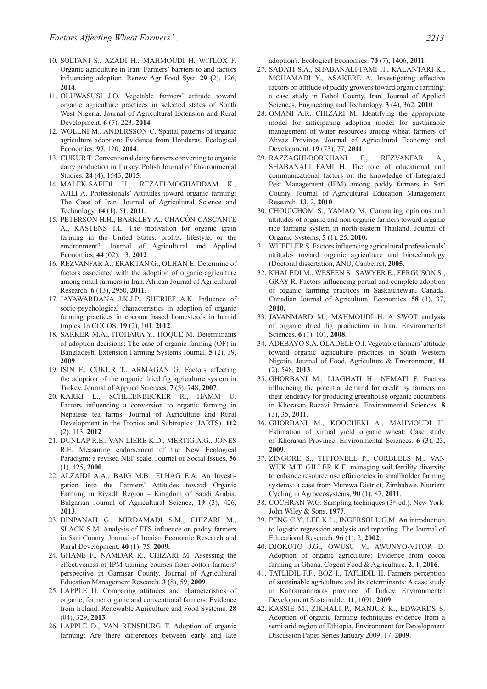- 10. SOLTANI S., AZADI H., MAHMOUDI H. WITLOX F. Organic agriculture in Iran: Farmers' barriers to and factors influencing adoption. Renew Agr Food Syst. **29 (**2), 126, **2014**.
- 11. OLUWASUSI J.O. Vegetable farmers' attitude toward organic agriculture practices in selected states of South West Nigeria. Journal of Agricultural Extension and Rural Development. **6** (7), 223, **2014**.
- 12. WOLLNI M., ANDERSSON C. Spatial patterns of organic agriculture adoption: Evidence from Honduras. Ecological Economics, **97**, 120, **2014**.
- 13. CUKUR T. Conventional dairy farmers converting to organic dairy production in Turkey. Polish Journal of Environmental Studies. **24** (4), 1543, **2015**.
- 14. MALEK-SAEIDI H., REZAEI-MOGHADDAM K., AJILI A. Professionals' Attitudes toward organic farming: The Case of Iran. Journal of Agricultural Science and Technology. **14** (1), 51, **2011**.
- 15. PETERSON H.H., BARKLEY A., CHACÓN-CASCANTE A., KASTENS T.L. The motivation for organic grain farming in the United States: profits, lifestyle, or the environment?. Journal of Agricultural and Applied Economics, **44** (02), 13, **2012**.
- 16. REZVANFAR A., ERAKTAN G., OLHAN E. Determine of factors associated with the adoption of organic agriculture among small farmers in Iran. African Journal of Agricultural Research .**6** (13), 2950, **2011**.
- 17. JAYAWARDANA J.K.J.P., SHERIEF A.K. Influence of socio-psychological characteristics in adoption of organic farming practices in coconut based homesteads in humid tropics. In COCOS. **19** (2), 101, **2012**.
- 18. SARKER M.A., ITOHARA Y., HOQUE M. Determinants of adoption decisions: The case of organic farming (OF) in Bangladesh. Extension Farming Systems Journal. **5** (2), 39, **2009**.
- 19. ISIN F., CUKUR T., ARMAGAN G. Factors affecting the adoption of the organic dried fig agriculture system in Turkey. Journal of Applied Sciences, **7** (5), 748, **2007**.
- 20. KARKI L., SCHLEENBECKER R., HAMM U. Factors influencing a conversion to organic farming in Nepalese tea farms. Journal of Agriculture and Rural Development in the Tropics and Subtropics (JARTS). **112**  (2), 113, **2012**.
- 21. DUNLAP R.E., VAN LIERE K.D., MERTIG A.G., JONES R.E. Measuring endorsement of the New Ecological Paradigm: a revised NEP scale. Journal of Social Issues, **56**  (1), 425, **2000**.
- 22. ALZAIDI A.A., BAIG M.B., ELHAG E.A. An Investigation into the Farmers' Attitudes toward Organic Farming in Riyadh Region – Kingdom of Saudi Arabia. Bulgarian Journal of Agricultural Science, **19** (3), 426, **2013**.
- 23. DINPANAH G., MIRDAMADI S.M., CHIZARI M., SLACK S.M. Analysis of FFS influence on paddy farmers in Sari County. Journal of Iranian Economic Research and Rural Development. **40** (1), 75, **2009.**
- 24. GHANE F., NAMDAR R., CHIZARI M. Assessing the effectiveness of IPM training courses from cotton farmers' perspective in Garmsar County. Journal of Agricultural Education Management Research. **3** (8), 59, **2009**.
- 25. LAPPLE D. Comparing attitudes and characteristics of organic, former organic and conventional farmers: Evidence from Ireland. Renewable Agriculture and Food Systems. **28**  (04), 329, **2013**.
- 26. LAPPLE D., VAN RENSBURG T. Adoption of organic farming: Are there differences between early and late

adoption?. Ecological Economics. **70** (7), 1406, **2011**.

- 27. SADATI S.A., SHABANALI-FAMI H., KALANTARI K., MOHAMADI Y., ASAKERE A. Investigating effective factors on attitude of paddy growers toward organic farming: a case study in Babol County, Iran. Journal of Applied Sciences, Engineering and Technology. **3** (4), 362, **2010**.
- 28. OMANI A.R. CHIZARI M. Identifying the appropriate model for anticipating adoption model for sustainable management of water resources among wheat farmers of Ahvaz Province. Journal of Agricultural Economy and Development. **19** (73), 77, **2011**.
- 29. RAZZAGHI-BORKHANI F., REZVANFAR A., SHABANALI FAMI H. The role of educational and communicational factors on the knowledge of Integrated Pest Management (IPM) among paddy farmers in Sari County. Journal of Agricultural Education Management Research. **13**, 2, **2010**.
- 30. CHOUICHOM S., YAMAO M. Comparing opinions and attitudes of organic and non-organic farmers toward organic rice farming system in north-eastern Thailand. Journal of Organic Systems, **5** (1), 25, **2010.**
- 31. WHEELER S. Factors influencing agricultural professionals' attitudes toward organic agriculture and biotechnology (Doctoral dissertation, ANU, Canberra), **2005**.
- 32. KHALEDI M., WESEEN S., SAWYER E., FERGUSON S., GRAY R. Factors influencing partial and complete adoption of organic farming practices in Saskatchewan, Canada. Canadian Journal of Agricultural Economics. **58** (1), 37, **2010.**
- 33. JAVANMARD M., MAHMOUDI H. A SWOT analysis of organic dried fig production in Iran. Environmental Sciences. **6** (1), 101, **2008**.
- 34. ADEBAYO S.A. OLADELE O.I. Vegetable farmers' attitude toward organic agriculture practices in South Western Nigeria. Journal of Food, Agriculture & Environment, **11**  (2), 548, **2013**.
- 35. GHORBANI M., LIAGHATI H., NEMATI F. Factors influencing the potential demand for credit by farmers on their tendency for producing greenhouse organic cucumbers in Khorasan Razavi Province. Environmental Sciences. **8**  (3), 35, **2011**.
- 36. GHORBANI M., KOOCHEKI A., MAHMOUDI H. Estimation of virtual yield organic wheat: Case study of Khorasan Province. Environmental Sciences. **6** (3), 23, **2009**.
- 37. ZINGORE S., TITTONELL P., CORBEELS M., VAN WIJK M.T. GILLER K.E. managing soil fertility diversity to enhance resource use efficiencies in smallholder farming systems: a case from Murewa District, Zimbabwe. Nutrient Cycling in Agroecosystems, **90** (1), 87, **2011**.
- 38. COCHRAN W.G. Sampling techniques (3rd ed.). New York: John Wiley & Sons. **1977**.
- 39. PENG C.Y., LEE K.L., INGERSOLL G.M. An introduction to logistic regression analysis and reporting. The Journal of Educational Research. **96** (1), 2, **2002**.
- 40. DJOKOTO J.G., OWUSU V., AWUNYO-VITOR D. Adoption of organic agriculture: Evidence from cocoa farming in Ghana. Cogent Food & Agriculture. **2**, 1, **2016**.
- 41. TATLIDIL F.F., BOZ I., TATLIDIL H. Farmers perception of sustainable agriculture and its determinants: A case study in Kahramanmaras province of Turkey. Environmental Development Sustainable. **11**, 1091, **2009**.
- 42. KASSIE M., ZIKHALI P., MANJUR K., EDWARDS S. Adoption of organic farming techniques evidence from a semi-arid region of Ethiopia, Environment for Development Discussion Paper Series January 2009, 17, **2009**.